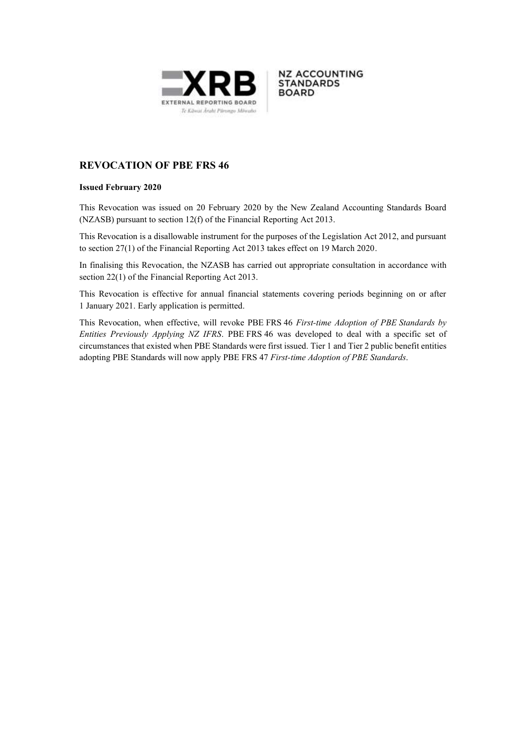



# **REVOCATION OF PBE FRS 46**

#### **Issued February 2020**

This Revocation was issued on 20 February 2020 by the New Zealand Accounting Standards Board (NZASB) pursuant to section 12(f) of the Financial Reporting Act 2013.

This Revocation is a disallowable instrument for the purposes of the Legislation Act 2012, and pursuant to section 27(1) of the Financial Reporting Act 2013 takes effect on 19 March 2020.

In finalising this Revocation, the NZASB has carried out appropriate consultation in accordance with section 22(1) of the Financial Reporting Act 2013.

This Revocation is effective for annual financial statements covering periods beginning on or after 1 January 2021. Early application is permitted.

This Revocation, when effective, will revoke PBE FRS 46 *First-time Adoption of PBE Standards by Entities Previously Applying NZ IFRS*. PBE FRS 46 was developed to deal with a specific set of circumstances that existed when PBE Standards were first issued. Tier 1 and Tier 2 public benefit entities adopting PBE Standards will now apply PBE FRS 47 *First-time Adoption of PBE Standards*.